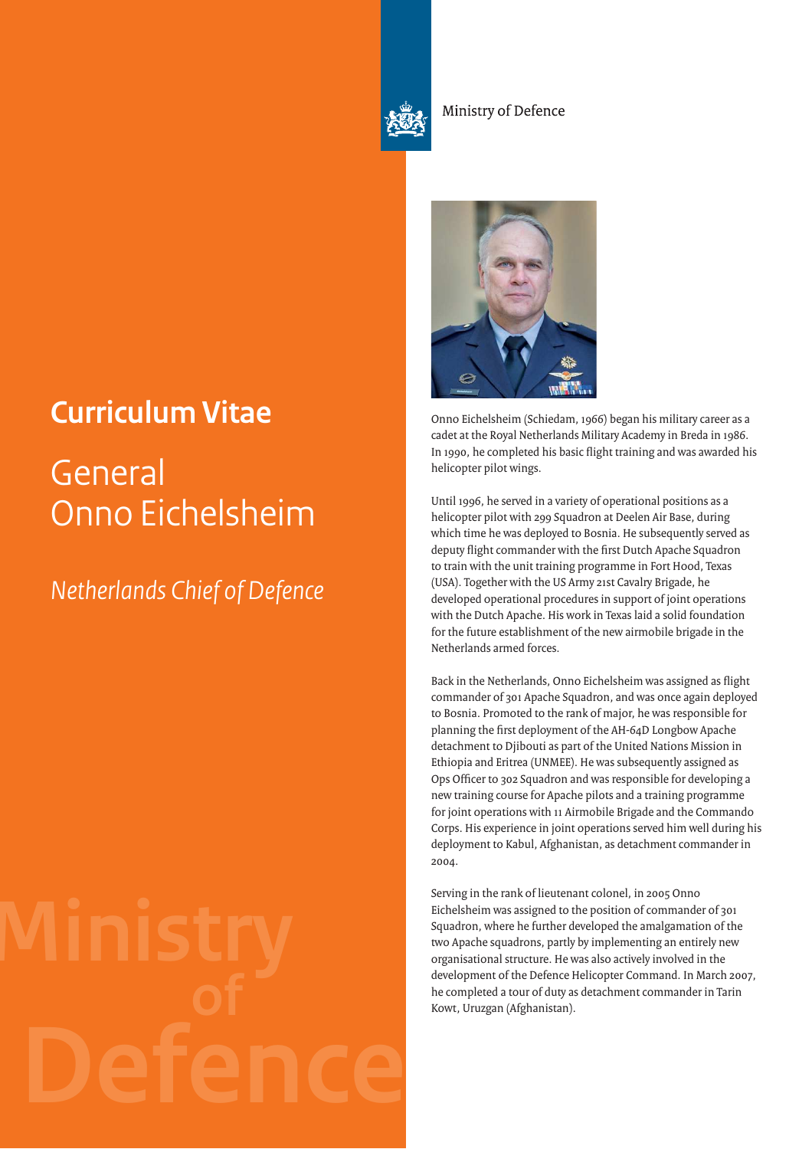

Ministry of Defence

## **Curriculum Vitae** Onno Eichelsheim (Schiedam, 1966) began his military career as a

## **General** Onno Eichelsheim

## *Netherlands Chief of Defence*



cadet at the Royal Netherlands Military Academy in Breda in 1986. In 1990, he completed his basic flight training and was awarded his helicopter pilot wings.

Until 1996, he served in a variety of operational positions as a helicopter pilot with 299 Squadron at Deelen Air Base, during which time he was deployed to Bosnia. He subsequently served as deputy flight commander with the first Dutch Apache Squadron to train with the unit training programme in Fort Hood, Texas (USA). Together with the US Army 21st Cavalry Brigade, he developed operational procedures in support of joint operations with the Dutch Apache. His work in Texas laid a solid foundation for the future establishment of the new airmobile brigade in the Netherlands armed forces.

Back in the Netherlands, Onno Eichelsheim was assigned as flight commander of 301 Apache Squadron, and was once again deployed to Bosnia. Promoted to the rank of major, he was responsible for planning the first deployment of the AH-64D Longbow Apache detachment to Djibouti as part of the United Nations Mission in Ethiopia and Eritrea (UNMEE). He was subsequently assigned as Ops Officer to 302 Squadron and was responsible for developing a new training course for Apache pilots and a training programme for joint operations with 11 Airmobile Brigade and the Commando Corps. His experience in joint operations served him well during his deployment to Kabul, Afghanistan, as detachment commander in 2004.

Serving in the rank of lieutenant colonel, in 2005 Onno Eichelsheim was assigned to the position of commander of 301 Squadron, where he further developed the amalgamation of the two Apache squadrons, partly by implementing an entirely new organisational structure. He was also actively involved in the development of the Defence Helicopter Command. In March 2007, he completed a tour of duty as detachment commander in Tarin Kowt, Uruzgan (Afghanistan).